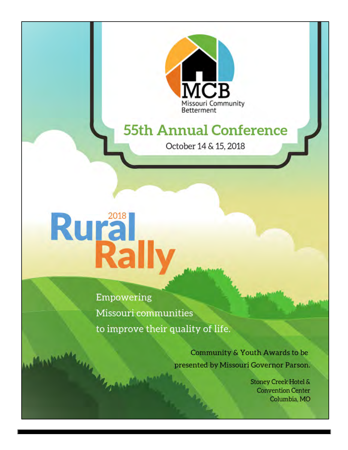

# **55th Annual Conference**

October 14 & 15, 2018

# Rural<br>Rall

Empowering Missouri communities to improve their quality of life.

> Community & Youth Awards to be presented by Missouri Governor Parson.

> > **Stoney Creek Hotel & Convention Center** Columbia, MO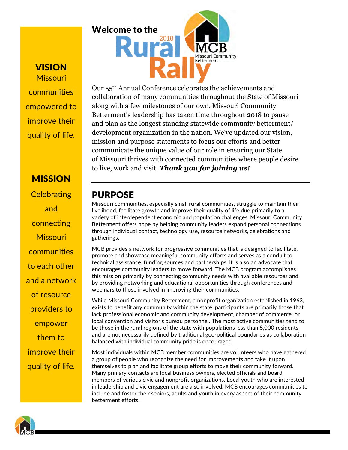**VISION** Missouri communities empowered to improve their quality of life.

## **MISSION**

**Celebrating** and connecting **Missouri** communities to each other and a network of resource providers to empower them to improve their quality of life.

Welcome to the 2018 issouri Community **Betterment** 

Our 55th Annual Conference celebrates the achievements and collaboration of many communities throughout the State of Missouri along with a few milestones of our own. Missouri Community Betterment's leadership has taken time throughout 2018 to pause and plan as the longest standing statewide community betterment/ development organization in the nation. We've updated our vision, mission and purpose statements to focus our efforts and better communicate the unique value of our role in ensuring our State of Missouri thrives with connected communities where people desire to live, work and visit. *Thank you for joining us!*

## PURPOSE

Missouri communities, especially small rural communities, struggle to maintain their livelihood, facilitate growth and improve their quality of life due primarily to a variety of interdependent economic and population challenges. Missouri Community Betterment offers hope by helping community leaders expand personal connections through individual contact, technology use, resource networks, celebrations and gatherings.

MCB provides a network for progressive communities that is designed to facilitate, promote and showcase meaningful community efforts and serves as a conduit to technical assistance, funding sources and partnerships. It is also an advocate that encourages community leaders to move forward. The MCB program accomplishes this mission primarily by connecting community needs with available resources and by providing networking and educational opportunities through conferences and webinars to those involved in improving their communities.

While Missouri Community Betterment, a nonprofit organization established in 1963, exists to benefit any community within the state, participants are primarily those that lack professional economic and community development, chamber of commerce, or local convention and visitor's bureau personnel. The most active communities tend to be those in the rural regions of the state with populations less than 5,000 residents and are not necessarily defined by traditional geo-political boundaries as collaboration balanced with individual community pride is encouraged.

Most individuals within MCB member communities are volunteers who have gathered a group of people who recognize the need for improvements and take it upon themselves to plan and facilitate group efforts to move their community forward. Many primary contacts are local business owners, elected officials and board members of various civic and nonprofit organizations. Local youth who are interested in leadership and civic engagement are also involved. MCB encourages communities to include and foster their seniors, adults and youth in every aspect of their community betterment efforts.

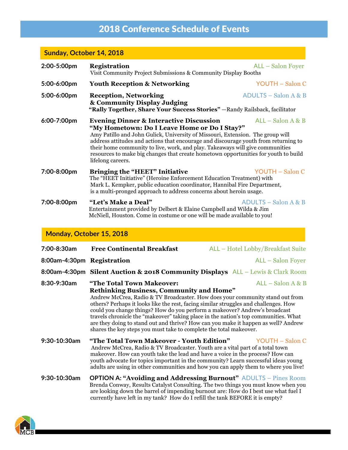# 2018 Conference Schedule of Events

## **Sunday, October 14, 2018**

| 2:00-5:00pm | <b>Registration</b><br>Visit Community Project Submissions & Community Display Booths                                                                                                                                                                                                                                                                                                                                                                                                            | ALL - Salon Foyer      |
|-------------|--------------------------------------------------------------------------------------------------------------------------------------------------------------------------------------------------------------------------------------------------------------------------------------------------------------------------------------------------------------------------------------------------------------------------------------------------------------------------------------------------|------------------------|
| 5:00-6:00pm | <b>Youth Reception &amp; Networking</b>                                                                                                                                                                                                                                                                                                                                                                                                                                                          | <b>YOUTH - Salon C</b> |
| 5:00-6:00pm | <b>Reception, Networking</b><br>& Community Display Judging<br>"Rally Together, Share Your Success Stories" - Randy Railsback, facilitator                                                                                                                                                                                                                                                                                                                                                       | ADULTS – Salon A & B   |
| 6:00-7:00pm | <b>Evening Dinner &amp; Interactive Discussion</b><br>$ALL - Salon A & B$<br>"My Hometown: Do I Leave Home or Do I Stay?"<br>Amy Patillo and John Gulick, University of Missouri, Extension. The group will<br>address attitudes and actions that encourage and discourage youth from returning to<br>their home community to live, work, and play. Take aways will give communities<br>resources to make big changes that create hometown opportunities for youth to build<br>lifelong careers. |                        |
| 7:00-8:00pm | <b>Bringing the "HEET" Initiative</b><br>YOUTH – Salon C<br>The "HEET Initiative" (Heroine Enforcement Education Treatment) with<br>Mark L. Kempker, public education coordinator, Hannibal Fire Department,<br>is a multi-pronged approach to address concerns about heroin usage.                                                                                                                                                                                                              |                        |
| 7:00-8:00pm | "Let's Make a Deal"<br>Entertainment provided by Delbert & Elaine Campbell and Wilda & Jim<br>McNiell, Houston. Come in costume or one will be made available to you!                                                                                                                                                                                                                                                                                                                            | $ADULTS - Salon A & B$ |

## **Monday, October 15, 2018**

| 7:00-8:30am                | <b>Free Continental Breakfast</b>                                                                                                                                                                                                                                                                                                                                                                                                                                                                                                                                                      | ALL - Hotel Lobby/Breakfast Suite |
|----------------------------|----------------------------------------------------------------------------------------------------------------------------------------------------------------------------------------------------------------------------------------------------------------------------------------------------------------------------------------------------------------------------------------------------------------------------------------------------------------------------------------------------------------------------------------------------------------------------------------|-----------------------------------|
| 8:00am-4:30pm Registration |                                                                                                                                                                                                                                                                                                                                                                                                                                                                                                                                                                                        | ALL – Salon Foyer                 |
|                            | 8:00am-4:30pm Silent Auction & 2018 Community Displays ALL – Lewis & Clark Room                                                                                                                                                                                                                                                                                                                                                                                                                                                                                                        |                                   |
| 8:30-9:30am                | "The Total Town Makeover:<br><b>Rethinking Business, Community and Home"</b><br>Andrew McCrea, Radio & TV Broadcaster. How does your community stand out from<br>others? Perhaps it looks like the rest, facing similar struggles and challenges. How<br>could you change things? How do you perform a makeover? Andrew's broadcast<br>travels chronicle the "makeover" taking place in the nation's top communities. What<br>are they doing to stand out and thrive? How can you make it happen as well? Andrew<br>shares the key steps you must take to complete the total makeover. | $ALL - Salon A & B$               |
| 9:30-10:30am               | "The Total Town Makeover - Youth Edition"<br>Andrew McCrea, Radio & TV Broadcaster. Youth are a vital part of a total town<br>makeover. How can youth take the lead and have a voice in the process? How can<br>youth advocate for topics important in the community? Learn successful ideas young<br>adults are using in other communities and how you can apply them to where you live!                                                                                                                                                                                              | YOUTH - Salon C                   |
| 9:30-10:30am               | <b>OPTION A: "Avoiding and Addressing Burnout" ADULTS – Pines Room</b><br>Brenda Conway, Results Catalyst Consulting. The two things you must know when you<br>are looking down the barrel of impending burnout are: How do I best use what fuel I<br>currently have left in my tank? How do I refill the tank BEFORE it is empty?                                                                                                                                                                                                                                                     |                                   |

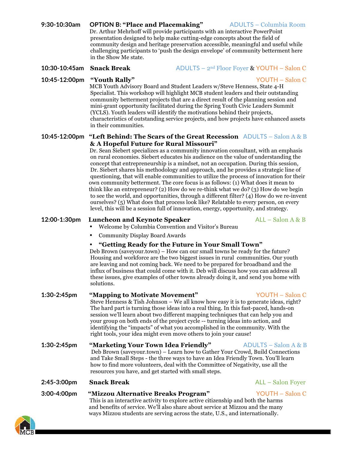## **9:30-10:30am OPTION B: "Place and Placemaking"** ADULTS – Columbia Room

 Dr. Arthur Mehrhoff will provide participants with an interactive PowerPoint presentation designed to help make cutting-edge concepts about the field of community design and heritage preservation accessible, meaningful and useful while challenging participants to 'push the design envelope' of community betterment here in the Show Me state.

#### **10:30-10:45am Snack Break** ADULTS – 2nd Floor Foyer & YOUTH – Salon C

## **10:45-12:00pm "Youth Rally"** YOUTH – Salon C

 MCB Youth Advisory Board and Student Leaders w/Steve Henness, State 4-H Specialist. This workshop will highlight MCB student leaders and their outstanding community betterment projects that are a direct result of the planning session and mini-grant opportunity facilitated during the Spring Youth Civic Leaders Summit (YCLS). Youth leaders will identify the motivations behind their projects, characteristics of outstanding service projects, and how projects have enhanced assets in their communities.

#### **10:45-12:00pm "Left Behind: The Scars of the Great Recession** ADULTS – Salon A & B  **& A Hopeful Future for Rural Missouri"**

 Dr. Sean Siebert specializes as a community innovation consultant, with an emphasis on rural economies. Siebert educates his audience on the value of understanding the concept that entrepreneurship is a mindset, not an occupation. During this session, Dr. Siebert shares his methodology and approach, and he provides a strategic line of questioning, that will enable communities to utilize the process of innovation for their own community betterment. The core focus is as follows: (1) What does it mean to think like an entrepreneur? (2) How do we re-think what we do? (3) How do we begin to see the world, and opportunities, through a different filter? (4) How do we re-invent ourselves? (5) What does that process look like? Relatable to every person, on every level, this will be a session full of innovation, energy, opportunity, and strategy.

### **12:00-1:30pm Luncheon and Keynote Speaker** ALL – Salon A & B

- Welcome by Columbia Convention and Visitor's Bureau
- Community Display Board Awards

## **"Getting Ready for the Future in Your Small Town"**

 Deb Brown (saveyour.town) – How can our small towns be ready for the future? Housing and workforce are the two biggest issues in rural communities. Our youth are leaving and not coming back. We need to be prepared for broadband and the influx of business that could come with it. Deb will discuss how you can address all these issues, give examples of other towns already doing it, and send you home with solutions.

## **1:30-2:45pm "Mapping to Motivate Movement"** YOUTH – Salon C

 Steve Henness & Tish Johnson – We all know how easy it is to generate ideas, right? The hard part is turning those ideas into a real thing. In this fast-paced, hands-on session we'll learn about two different mapping techniques that can help you and your group on both ends of the project cycle -- turning ideas into action, and identifying the "impacts" of what you accomplished in the community. With the right tools, your idea might even move others to join your cause!

**1:30-2:45pm "Marketing Your Town Idea Friendly"** ADULTS – Salon A & B Deb Brown (saveyour.town) – Learn how to Gather Your Crowd, Build Connections and Take Small Steps - the three ways to have an Idea Friendly Town. You'll learn how to find more volunteers, deal with the Committee of Negativity, use all the resources you have, and get started with small steps.

#### **2:45-3:00pm Snack Break** ALL – Salon Foyer

# **3:00-4:00pm "Mizzou Alternative Breaks Program"** YOUTH – Salon C

 This is an interactive activity to explore active citizenship and both the harms and benefits of service. We'll also share about service at Mizzou and the many ways Mizzou students are serving across the state, U.S., and internationally.





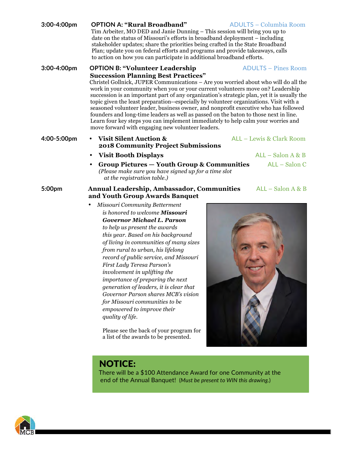| 3:00-4:00pm | <b>OPTION A: "Rural Broadband"</b><br><b>ADULTS - Columbia Room</b><br>Tim Arbeiter, MO DED and Janie Dunning – This session will bring you up to<br>date on the status of Missouri's efforts in broadband deployment – including<br>stakeholder updates; share the priorities being crafted in the State Broadband<br>Plan; update you on federal efforts and programs and provide takeaways, calls<br>to action on how you can participate in additional broadband efforts.                                                                                                                                                                                                                                                                                                                               |
|-------------|-------------------------------------------------------------------------------------------------------------------------------------------------------------------------------------------------------------------------------------------------------------------------------------------------------------------------------------------------------------------------------------------------------------------------------------------------------------------------------------------------------------------------------------------------------------------------------------------------------------------------------------------------------------------------------------------------------------------------------------------------------------------------------------------------------------|
| 3:00-4:00pm | <b>ADULTS - Pines Room</b><br><b>OPTION B: "Volunteer Leadership</b><br><b>Succession Planning Best Practices"</b><br>Christel Gollnick, JUPER Communications - Are you worried about who will do all the<br>work in your community when you or your current volunteers move on? Leadership<br>succession is an important part of any organization's strategic plan, yet it is usually the<br>topic given the least preparation-especially by volunteer organizations. Visit with a<br>seasoned volunteer leader, business owner, and nonprofit executive who has followed<br>founders and long-time leaders as well as passed on the baton to those next in line.<br>Learn four key steps you can implement immediately to help calm your worries and<br>move forward with engaging new volunteer leaders. |
| 4:00-5:00pm | <b>Visit Silent Auction &amp;</b><br>ALL - Lewis & Clark Room<br>$\bullet$<br><b>2018 Community Project Submissions</b>                                                                                                                                                                                                                                                                                                                                                                                                                                                                                                                                                                                                                                                                                     |
|             | <b>Visit Booth Displays</b><br>$ALL - Salon A & B$<br>$\bullet$                                                                                                                                                                                                                                                                                                                                                                                                                                                                                                                                                                                                                                                                                                                                             |
|             | ALL - Salon C<br>Group Pictures – Youth Group & Communities<br>(Please make sure you have signed up for a time slot<br>at the registration table.)                                                                                                                                                                                                                                                                                                                                                                                                                                                                                                                                                                                                                                                          |
| 5:00pm      | $ALL - Salon A & B$<br><b>Annual Leadership, Ambassador, Communities</b><br>and Youth Group Awards Banquet                                                                                                                                                                                                                                                                                                                                                                                                                                                                                                                                                                                                                                                                                                  |
|             | Missouri Community Betterment<br>is honored to welcome Missouri<br><b>Governor Michael L. Parson</b><br>to help us present the awards<br>this year. Based on his background<br>of living in communities of many sizes<br>from rural to urban, his lifelong<br>record of public service, and Missouri<br>First Lady Teresa Parson's<br>involvement in uplifting the<br>importance of preparing the next<br>generation of leaders, it is clear that<br>Governor Parson shares MCB's vision<br>for Missouri communities to be<br>empowered to improve their                                                                                                                                                                                                                                                    |

*quality of life.* 

Please see the back of your program for a list of the awards to be presented.

# NOTICE:

There will be a \$100 Attendance Award for one Community at the end of the Annual Banquet! (*Must be present to WIN this drawing.*)

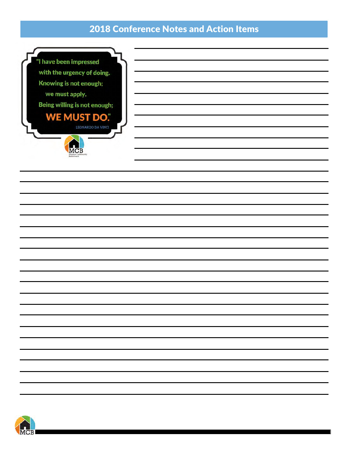## 2018 Conference Notes and Action Items

"I have been impressed with the urgency of doing. Knowing is not enough; we must apply. Being willing is not enough; **WE MUST DO.** 

 $\overline{\text{MC}}$ B

LEONARDO DA VINCI

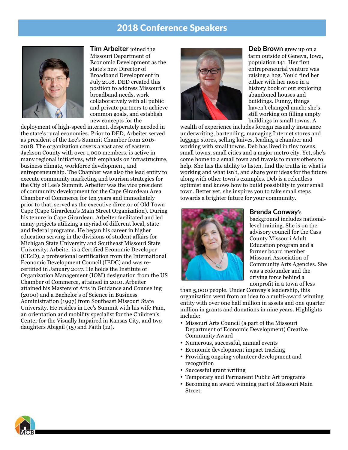## 2018 Conference Speakers



**Tim Arbeiter** joined the Missouri Department of Economic Development as the state's new Director of Broadband Development in July 2018. DED created this position to address Missouri's broadband needs, work collaboratively with all public and private partners to achieve common goals, and establish new concepts for the

deployment of high-speed internet, desperately needed in the state's rural economies. Prior to DED, Arbeiter served as president of the Lee's Summit Chamber from 2016- 2018. The organization covers a vast area of eastern Jackson County with over 1,000 members. is active in many regional initiatives, with emphasis on infrastructure, business climate, workforce development, and entrepreneurship. The Chamber was also the lead entity to execute community marketing and tourism strategies for the City of Lee's Summit. Arbeiter was the vice president of community development for the Cape Girardeau Area Chamber of Commerce for ten years and immediately prior to that, served as the executive director of Old Town Cape (Cape Girardeau's Main Street Organization). During his tenure in Cape Girardeau, Arbeiter facilitated and led many projects utilizing a myriad of different local, state and federal programs. He began his career in higher education serving in the divisions of student affairs for Michigan State University and Southeast Missouri State University. Arbeiter is a Certified Economic Developer (CEcD), a professional certification from the International Economic Development Council (IEDC) and was recertified in January 2017. He holds the Institute of Organization Management (IOM) designation from the US Chamber of Commerce, attained in 2010. Arbeiter attained his Masters of Arts in Guidance and Counseling (2000) and a Bachelor's of Science in Business Administration (1997) from Southeast Missouri State University. He resides in Lee's Summit with his wife Pam, an orientation and mobility specialist for the Children's Center for the Visually Impaired in Kansas City, and two daughters Abigail (15) and Faith (12).



**Deb Brown** grew up on a farm outside of Geneva, Iowa, population 141. Her first entrepreneurial venture was raising a hog. You'd find her either with her nose in a history book or out exploring abandoned houses and buildings. Funny, things haven't changed much; she's still working on filling empty buildings in small towns. A

wealth of experience includes foreign casualty insurance underwriting, bartending, managing Internet stores and luggage stores, selling knives, leading a chamber and working with small towns. Deb has lived in tiny towns, small towns, small cities and a major metro city. Yet, she's come home to a small town and travels to many others to help. She has the ability to listen, find the truths in what is working and what isn't, and share your ideas for the future along with other town's examples. Deb is a relentless optimist and knows how to build possibility in your small town. Better yet, she inspires you to take small steps towards a brighter future for your community.



#### **Brenda Conway**'s

background includes nationallevel training. She is on the advisory council for the Cass County Missouri Adult Education program and a former board member Missouri Association of Community Arts Agencies. She was a cofounder and the driving force behind a nonprofit in a town of less

than 5,000 people. Under Conway's leadership, this organization went from an idea to a multi-award winning entity with over one half million in assets and one quarter million in grants and donations in nine years. Highlights include:

- Missouri Arts Council (a part of the Missouri Department of Economic Development) Creative Community Award
- Numerous, successful, annual events
- Economic development impact tracking
- Providing ongoing volunteer development and recognition
- Successful grant writing
- Temporary and Permanent Public Art programs
- Becoming an award winning part of Missouri Main Street

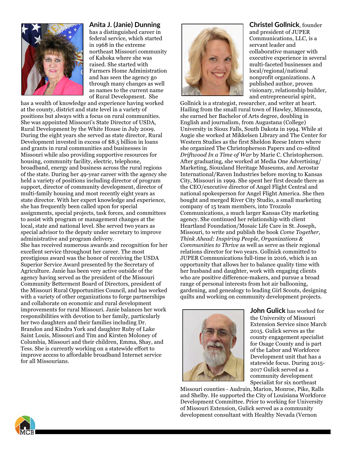

## **Anita J. (Janie) Dunning**

has a distinguished career in federal service, which started in 1968 in the extreme northeast Missouri community of Kahoka where she was raised. She started with Farmers Home Administration and has seen the agency go through many changes as well as names to the current name of Rural Development. She

has a wealth of knowledge and experience having worked at the county, district and state level in a variety of positions but always with a focus on rural communities. She was appointed Missouri's State Director of USDA, Rural Development by the White House in July 2009. During the eight years she served as state director, Rural Development invested in excess of \$8.5 billion in loans and grants in rural communities and businesses in Missouri while also providing supportive resources for housing, community facility, electric, telephone, broadband, energy and business across the rural regions of the state. During her 49-year career with the agency she held a variety of positions including director of program support, director of community development, director of multi-family housing and most recently eight years as state director. With her expert knowledge and experience, she has frequently been called upon for special assignments, special projects, task forces, and committees to assist with program or management changes at the local, state and national level. She served two years as special advisor to the deputy under secretary to improve administrative and program delivery. She has received numerous awards and recognition for her excellent service throughout her career. The most prestigious award was the honor of receiving the USDA Superior Service Award presented by the Secretary of

Agriculture. Janie has been very active outside of the agency having served as the president of the Missouri Community Betterment Board of Directors, president of the Missouri Rural Opportunities Council, and has worked with a variety of other organizations to forge partnerships and collaborate on economic and rural development improvements for rural Missouri. Janie balances her work responsibilities with devotion to her family, particularly her two daughters and their families including Dr. Brandon and Kindra York and daughter Ruby of Lake Saint Louis, Missouri and Tim and Kirsten Moloney of Columbia, Missouri and their children, Emma, Shay, and Tess. She is currently working on a statewide effort to improve access to affordable broadband Internet service for all Missourians.



**Christel Gollnick**, founder

and president of JUPER Communications, LLC, is a servant leader and collaborative manager with executive experience in several multi-faceted businesses and local/regional/national nonprofit organizations. A published author, proven visionary, relationship builder, and entrepreneurial spirit,

Gollnick is a strategist, researcher, and writer at heart. Hailing from the small rural town of Hawley, Minnesota, she earned her Bachelor of Arts degree, doubling in English and journalism, from Augustana (College) University in Sioux Falls, South Dakota in 1994. While at Augie she worked at Mikkelsen Library and The Center for Western Studies as the first Sheldon Reese Intern where she organized The Christopherson Papers and co-edited *Driftwood In a Time of War* by Marie C. Christopherson. After graduating, she worked at Media One Advertising/ Marketing, Siouxland Heritage Museums, and Aerostar International/Raven Industries before moving to Kansas City, Missouri in 1999. She spent her first decade there as the CEO/executive director of Angel Flight Central and national spokesperson for Angel Flight America. She then bought and merged River City Studio, a small marketing company of 15 team members, into Trozzolo Communications, a much larger Kansas City marketing agency. She continued her relationship with client Heartland Foundation/Mosaic Life Care in St. Joseph, Missouri, to write and publish the book *Come Together, Think Ahead: Inspiring People, Organizations & Communities to Thrive* as well as serve as their regional relations director for two years. Gollnick committed to JUPER Communications full-time in 2016, which is an opportunity that allows her to balance quality time with her husband and daughter, work with engaging clients who are positive difference-makers, and pursue a broad range of personal interests from hot air ballooning, gardening, and genealogy to leading Girl Scouts, designing quilts and working on community development projects.



**John Gulick** has worked for the University of Missouri Extension Service since March 2015. Gulick serves as the county engagement specialist for Osage County and is part of the Labor and Workforce Development unit that has a statewide focus. During 2015- 2017 Gulick served as a community development Specialist for six northeast

Missouri counties - Audrain, Marion, Monroe, Pike, Ralls and Shelby. He supported the City of Louisiana Workforce Development Committee. Prior to working for University of Missouri Extension, Gulick served as a community development consultant with Healthy Nevada (Vernon

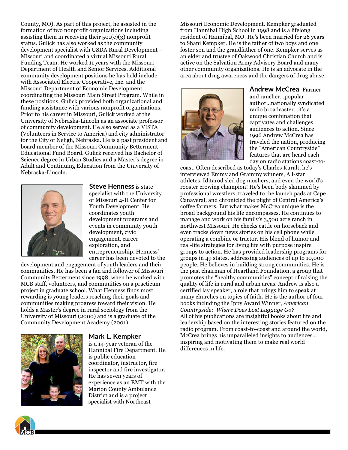County, MO). As part of this project, he assisted in the formation of two nonprofit organizations including assisting them in receiving their 501(c)(3) nonprofit status. Gulick has also worked as the community development specialist with USDA Rural Development – Missouri and coordinated a virtual Missouri Rural Funding Team. He worked 11 years with the Missouri Department of Health and Senior Services. Additional community development positions he has held include with Associated Electric Cooperative, Inc. and the Missouri Department of Economic Development coordinating the Missouri Main Street Program. While in these positions, Gulick provided both organizational and funding assistance with various nonprofit organizations. Prior to his career in Missouri, Gulick worked at the University of Nebraska-Lincoln as an associate professor of community development. He also served as a VISTA (Volunteers in Service to America) and city administrator for the City of Neligh, Nebraska. He is a past president and board member of the Missouri Community Betterment Educational Fund Board. Gulick received his Bachelor of Science degree in Urban Studies and a Master's degree in Adult and Continuing Education from the University of Nebraska-Lincoln.



**Steve Henness** is state specialist with the University of Missouri 4-H Center for Youth Development. He coordinates youth development programs and events in community youth development, civic engagement, career exploration, and entrepreneurship. Henness' career has been devoted to the

development and engagement of youth leaders and their communities. He has been a fan and follower of Missouri Community Betterment since 1998, when he worked with MCB staff, volunteers, and communities on a practicum project in graduate school. What Henness finds most rewarding is young leaders reaching their goals and communities making progress toward their vision. He holds a Master's degree in rural sociology from the University of Missouri (2000) and is a graduate of the Community Development Academy (2001).



#### **Mark L. Kempker**

is a 14-year veteran of the Hannibal Fire Department. He is public education coordinator, instructor, fire inspector and fire investigator. He has seven years of experience as an EMT with the Marion County Ambulance District and is a project specialist with Northeast

Missouri Economic Development. Kempker graduated from Hannibal High School in 1998 and is a lifelong resident of Hannibal, MO. He's been married for 26 years to Shani Kempker. He is the father of two boys and one foster son and the grandfather of one. Kempker serves as an elder and trustee of Oakwood Christian Church and is active on the Salvation Army Advisory Board and many other community organizations. He is an advocate in the area about drug awareness and the dangers of drug abuse.



**Andrew McCrea** Farmer and rancher…popular author…nationally syndicated radio broadcaster…it's a unique combination that captivates and challenges audiences to action. Since 1996 Andrew McCrea has traveled the nation, producing the "American Countryside" features that are heard each day on radio stations coast-to-

coast. Often described as today's Charles Kuralt, he's interviewed Emmy and Grammy winners, All-star athletes, Iditarod sled dog mushers, and even the world's rooster crowing champion! He's been body slammed by professional wrestlers, traveled to the launch pads at Cape Canaveral, and chronicled the plight of Central America's coffee farmers. But what makes McCrea unique is the broad background his life encompasses. He continues to manage and work on his family's 3,500 acre ranch in northwest Missouri. He checks cattle on horseback and even tracks down news stories on his cell phone while operating a combine or tractor. His blend of humor and real-life strategies for living life with purpose inspire groups to action. He has provided leadership programs for groups in 49 states, addressing audiences of up to 10,000 people. He believes in building strong communities. He is the past chairman of Heartland Foundation, a group that promotes the "healthy communities" concept of raising the quality of life in rural and urban areas. Andrew is also a certified lay speaker, a role that brings him to speak at many churches on topics of faith. He is the author of four books including the Ippy Award Winner, *American Countryside: Where Does Lost Luggage Go?* All of his publications are insightful books about life and leadership based on the interesting stories featured on the radio program. From coast-to-coast and around the world, McCrea brings his unparalleled insights to audiences… inspiring and motivating them to make real world differences in life.

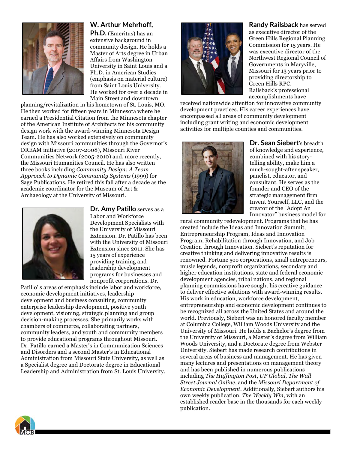

## **W. Arthur Mehrhoff,**

**Ph.D.** (Emeritus) has an extensive background in community design. He holds a Master of Arts degree in Urban Affairs from Washington University in Saint Louis and a Ph.D. in American Studies (emphasis on material culture) from Saint Louis University. He worked for over a decade in Main Street and downtown

planning/revitalization in his hometown of St. Louis, MO. He then worked for fifteen years in Minnesota where he earned a Presidential Citation from the Minnesota chapter of the American Institute of Architects for his community design work with the award-winning Minnesota Design Team. He has also worked extensively on community design with Missouri communities through the Governor's DREAM initiative (2007-2008), Missouri River Communities Network (2005-2010) and, more recently, the Missouri Humanities Council. He has also written three books including *Community Design: A Team Approach to Dynamic Community Systems* (1999) for Sage Publications. He retired this fall after a decade as the academic coordinator for the Museum of Art & Archaeology at the University of Missouri.



**Dr. Amy Patillo** serves as a Labor and Workforce Development Specialists with the University of Missouri Extension. Dr. Patillo has been with the University of Missouri Extension since 2011. She has 15 years of experience providing training and leadership development programs for businesses and nonprofit corporations. Dr.

Patillo' s areas of emphasis include labor and workforce, economic development initiatives, leadership development and business consulting, community enterprise leadership development, positive youth development, visioning, strategic planning and group decision-making processes. She primarily works with chambers of commerce, collaborating partners, community leaders, and youth and community members to provide educational programs throughout Missouri. Dr. Patillo earned a Master's in Communication Sciences and Disorders and a second Master's in Educational Administration from Missouri State University, as well as a Specialist degree and Doctorate degree in Educational Leadership and Administration from St. Louis University.



**Randy Railsback** has served as executive director of the Green Hills Regional Planning Commission for 15 years. He was executive director of the Northwest Regional Council of Governments in Maryville, Missouri for 13 years prior to providing directorship to Green Hills RPC. Railsback's professional accomplishments have

received nationwide attention for innovative community development practices. His career experiences have encompassed all areas of community development including grant writing and economic development activities for multiple counties and communities.



**Dr. Sean Siebert**'s breadth of knowledge and experience, combined with his storytelling ability, make him a much-sought-after speaker, panelist, educator, and consultant. He serves as the founder and CEO of the strategic management firm Invent Yourself, LLC, and the creator of the "Adopt An Innovator" business model for

rural community redevelopment. Programs that he has created include the Ideas and Innovation Summit, Entrepreneurship Program, Ideas and Innovation Program, Rehabilitation through Innovation, and Job Creation through Innovation. Siebert's reputation for creative thinking and delivering innovative results is renowned. Fortune 500 corporations, small entrepreneurs, music legends, nonprofit organizations, secondary and higher education institutions, state and federal economic development agencies, tribal nations, and regional planning commissions have sought his creative guidance to deliver effective solutions with award-winning results. His work in education, workforce development, entrepreneurship and economic development continues to be recognized all across the United States and around the world. Previously, Siebert was an honored faculty member at Columbia College, William Woods University and the University of Missouri. He holds a Bachelor's degree from the University of Missouri, a Master's degree from William Woods University, and a Doctorate degree from Webster University. Siebert has made research contributions in several areas of business and management. He has given many lectures and presentations on management theory and has been published in numerous publications including *The Huffington Post*, *UP Global*, *The Wall Street Journal Online*, and the *Missouri Department of Economic Development*. Additionally, Siebert authors his own weekly publication, *The Weekly Win*, with an established reader base in the thousands for each weekly publication.

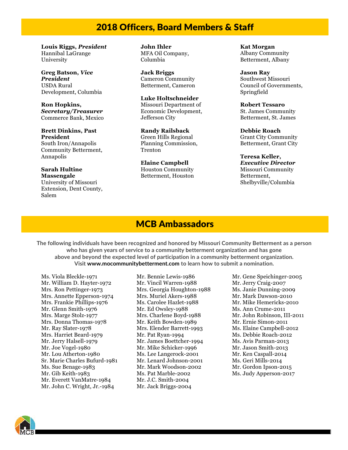## 2018 Officers, Board Members & Staff

**Louis Riggs,** *President* Hannibal LaGrange University

**Greg Batson,** *Vice President* USDA Rural Development, Columbia

**Ron Hopkins,**  *Secretary/Treasurer* Commerce Bank, Mexico

**Brett Dinkins, Past President** South Iron/Annapolis Community Betterment, Annapolis

**Sarah Hultine Massengale** University of Missouri Extension, Dent County, Salem

**John Ihler** MFA Oil Company, Columbia

**Jack Briggs** Cameron Community Betterment, Cameron

**Luke Holtschneider** Missouri Department of Economic Development, Jefferson City

**Randy Railsback** Green Hills Regional Planning Commission, Trenton

**Elaine Campbell** Houston Community Betterment, Houston **Kat Morgan** Albany Community Betterment, Albany

**Jason Ray** Southwest Missouri Council of Governments, Springfield

**Robert Tessaro** St. James Community Betterment, St. James

**Debbie Roach** Grant City Community Betterment, Grant City

#### **Teresa Keller,**  *Executive Director* Missouri Community Betterment, Shelbyville/Columbia

## MCB Ambassadors

**The following individuals have been recognized and honored by Missouri Community Betterment as a person who has given years of service to a community betterment organization and has gone above and beyond the expected level of participation in a community betterment organization. Visit www.mocommunitybetterment.com to learn how to submit a nomination.**

Ms. Viola Bleckle-1971 Mr. William D. Hayter-1972 Mrs. Ron Pettinger-1973 Mrs. Annette Epperson-1974 Mrs. Frankie Phillips-1976 Mr. Glenn Smith-1976 Mrs. Marge Stolz-1977 Mrs. Donna Thomas-1978 Mr. Ray Slater-1978 Mrs. Harriet Beard-1979 Mr. Jerry Halsell-1979 Mr. Joe Vogel-1980 Mr. Lou Atherton-1980 Sr. Marie Charles Bufurd-1981 Ms. Sue Benage-1983 Mr. Gib Keith-1983 Mr. Everett VanMatre-1984 Mr. John C. Wright, Jr.-1984

Mr. Bennie Lewis-1986 Mr. Vincil Warren-1988 Mrs. Georgia Houghton-1988 Mrs. Muriel Akers-1988 Ms. Carolee Hazlet-1988 Mr. Ed Owsley-1988 Mrs. Charlene Boyd-1988 Mr. Keith Bowden-1989 Mrs. Elender Barrett-1993 Mr. Pat Ryan-1994 Mr. James Boettcher-1994 Mr. Mike Schicker-1996 Ms. Lee Langerock-2001 Mr. Lenard Johnson-2001 Mr. Mark Woodson-2002 Ms. Pat Marble-2002 Mr. J.C. Smith-2004 Mr. Jack Briggs-2004

Mr. Gene Speichinger-2005 Mr. Jerry Craig-2007 Ms. Janie Dunning-2009 Mr. Mark Dawson-2010 Mr. Mike Hemericks-2010 Ms. Ann Crume-2011 Mr. John Robinson, III-2011 Mr. Ernie Simon-2011 Ms. Elaine Campbell-2012 Ms. Debbie Roach-2012 Ms. Avis Parman-2013 Mr. Jason Smith-2013 Mr. Ken Caspall-2014 Ms. Geri Mills-2014 Mr. Gordon Ipson-2015 Ms. Judy Apperson-2017

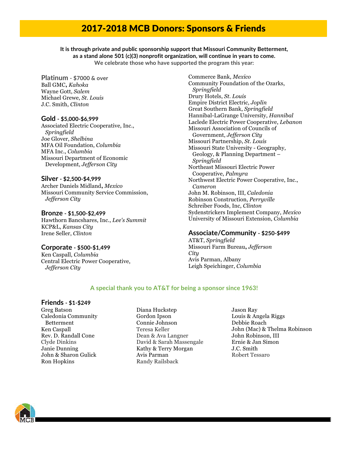## 2017-2018 MCB Donors: Sponsors & Friends

**It is through private and public sponsorship support that Missouri Community Betterment, as a stand alone 501 (c)(3) nonprofit organization, will continue in years to come. We celebrate those who have supported the program this year:**

**Platinum - \$7000 & over** Ball GMC**,** *Kahoka* Wayne Gott, *Salem* Michael Grewe, *St. Louis* J.C. Smith, *Clinton*

#### **Gold - \$5,000-\$6,999**

Associated Electric Cooperative, Inc., *Springfield* Joe Glover, *Shelbina* MFA Oil Foundation, *Columbia* MFA Inc., *Columbia* Missouri Department of Economic Development, *Jefferson City*

#### **Silver - \$2,500-\$4,999**

Archer Daniels Midland**,** *Mexico* Missouri Community Service Commission, *Jefferson City*

#### **Bronze - \$1,500-\$2,499**

Hawthorn Bancshares, Inc., *Lee's Summit* KCP&L, *Kansas City* Irene Seller, *Clinton*

#### **Corporate - \$500-\$1,499**

Ken Caspall, *Columbia* Central Electric Power Cooperative, *Jefferson City*

Commerce Bank, *Mexico* Community Foundation of the Ozarks, *Springfield* Drury Hotels, *St. Louis* Empire District Electric, *Joplin* Great Southern Bank, *Springfield* Hannibal-LaGrange University, *Hannibal* Laclede Electric Power Cooperative, *Lebanon* Missouri Association of Councils of Government, *Jefferson City* Missouri Partnership, *St. Louis* Missouri State University - Geography, Geology, & Planning Department – *Springfield* Northeast Missouri Electric Power Cooperative, *Palmyra* Northwest Electric Power Cooperative, Inc., *Cameron* John M. Robinson, III, *Caledonia* Robinson Construction, *Perryville* Schreiber Foods, Inc, *Clinton* Sydenstrickers Implement Company, *Mexico* University of Missouri Extension, *Columbia*

#### **Associate/Community - \$250-\$499**

AT&T, *Springfield* Missouri Farm Bureau**,** *Jefferson City* Avis Parman, Albany Leigh Speichinger, *Columbia*

#### **A special thank you to AT&T for being a sponsor since 1963!**

#### **Friends - \$1-\$249**

Greg Batson Caledonia Community Betterment Ken Caspall Rev. D. Randall Cone Clyde Dinkins Janie Dunning John & Sharon Gulick Ron Hopkins

- Diana Huckstep Gordon Ipson Connie Johnson Teresa Keller Dean & Ava Langner David & Sarah Massengale Kathy & Terry Morgan Avis Parman Randy Railsback
- Jason Ray Louis & Angela Riggs Debbie Roach John (Mac) & Thelma Robinson John Robinson, III Ernie & Jan Simon J.C. Smith Robert Tessaro

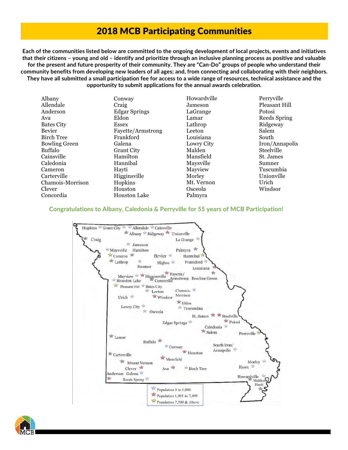## 2018 MCB Participating Communities

Each of the communities listed below are committed to the ongoing development of local projects, events and initiatives that their citizens – young and old – identify and prioritize through an inclusive planning process as positive and valuable for the present and future prosperity of their community. They are "Can-Do" groups of people who understand their community benefits from developing new leaders of all ages; and, from connecting and collaborating with their neighbors. They have all submitted a small participation fee for access to a wide range of resources, technical assistance and the **opportunity to submit applications for the annual awards celebration.**

| Albany               | Conway               | Howardville | Perryville     |
|----------------------|----------------------|-------------|----------------|
| Allendale            | Craig                | Jameson     | Pleasant Hill  |
| Anderson             | <b>Edgar Springs</b> | LaGrange    | Potosi         |
| Ava                  | Eldon                | Lamar       | Reeds Spring   |
| <b>Bates City</b>    | <b>Essex</b>         | Lathrop     | Ridgeway       |
| Bevier               | Fayette/Armstrong    | Leeton      | Salem          |
| <b>Birch Tree</b>    | Frankford            | Louisiana   | South          |
| <b>Bowling Green</b> | Galena               | Lowry City  | Iron/Annapolis |
| Buffalo              | <b>Grant City</b>    | Malden      | Steelville     |
| Cainsville           | Hamilton             | Mansfield   | St. James      |
| Caledonia            | Hannibal             | Maysville   | Sumner         |
| Cameron              | Hayti                | Mayview     | Tuscumbia      |
| Carterville          | Higginsville         | Morley      | Unionville     |
| Chamois-Morrison     | Hopkins              | Mt. Vernon  | Urich          |
| Clever               | Houston              | Osceola     | Windsor        |
| Concordia            | <b>Houston Lake</b>  | Palmyra     |                |

### **Congratulations to Albany, Caledonia & Perryville for 55 years of MCB Participation!**



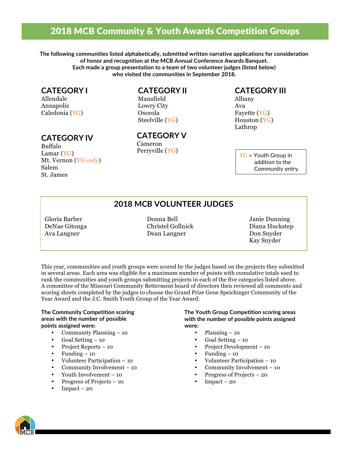## 2018 MCB Community & Youth Awards Competition Groups

**The following communities listed alphabetically, submitted written narrative applications for consideration of honor and recognition at the MCB Annual Conference Awards Banquet. Each made a group presentation to a team of two volunteer judges (listed below) who visited the communities in September 2018.**

## **CATEGORY I**

Allendale Annapolis Caledonia (YG)

## **CATEGORY IV**

Buffalo Lamar (YG) Mt. Vernon (YG only) Salem St. James

## **CATEGORY II**

Mansfield Lowry City Osceola Steelville (YG)

**CATEGORY V** Cameron Perryville (YG)

## **CATEGORY III**

Albany Ava Fayette (YG) Houston (YG) Lathrop

> $YG = Youth Group in$  addition to the Community entry.

## **2018 MCB VOLUNTEER JUDGES**

Gloria Barber Donna Bell Janie Dunning DeNae Gitonga Christel Gollnick Diana Huckstep Ava Langner Dean Langner Don Snyder

Kay Snyder

This year, communities and youth groups were scored by the judges based on the projects they submitted in several areas. Each area was eligible for a maximum number of points with cumulative totals used to rank the communities and youth groups submitting projects in each of the five categories listed above. A committee of the Missouri Community Betterment board of directors then reviewed all comments and scoring sheets completed by the judges to choose the Grand Prize Gene Speichinger Community of the Year Award and the J.C. Smith Youth Group of the Year Award.

#### **The Community Competition scoring areas with the number of possible points assigned were:**

- Community Planning 10
- Goal Setting 10
- Project Reports 10
- Funding  $-10$
- Volunteer Participation 10
- Community Involvement 10
- Youth Involvement 10
- Progress of Projects 10
- $Impack 20$

#### **The Youth Group Competition scoring areas with the number of possible points assigned were:**

- Planning  $-10$
- Goal Setting 10
- Project Development 10
- Funding  $-10$ 
	- Volunteer Participation 10
	- Community Involvement 10
- Progress of Projects 20
- $Impack 20$